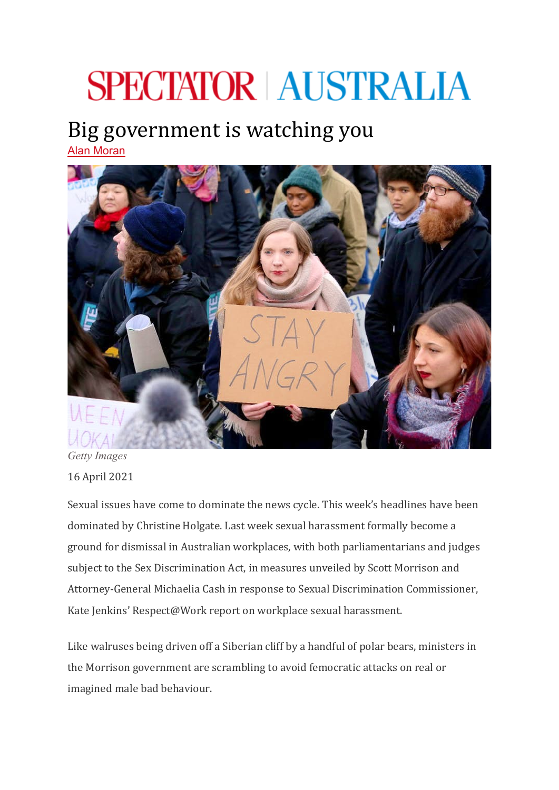## **SPECTATOR | AUSTRALIA**

## Big government is watching you

[Alan Moran](https://www.spectator.com.au/author/alanmoran/)



*Getty Images* 16 April 2021

Sexual issues have come to dominate the news cycle. This week's headlines have been dominated by Christine Holgate. Last week sexual harassment formally become a ground for dismissal in Australian workplaces, with both parliamentarians and judges subject to the Sex Discrimination Act, in measures unveiled by Scott Morrison and Attorney-General Michaelia Cash in response to Sexual Discrimination Commissioner, Kate Jenkins' Respect@Work report on workplace sexual harassment.

Like walruses being driven off a Siberian cliff by a handful of polar bears, ministers in the Morrison government are scrambling to avoid femocratic attacks on real or imagined male bad behaviour.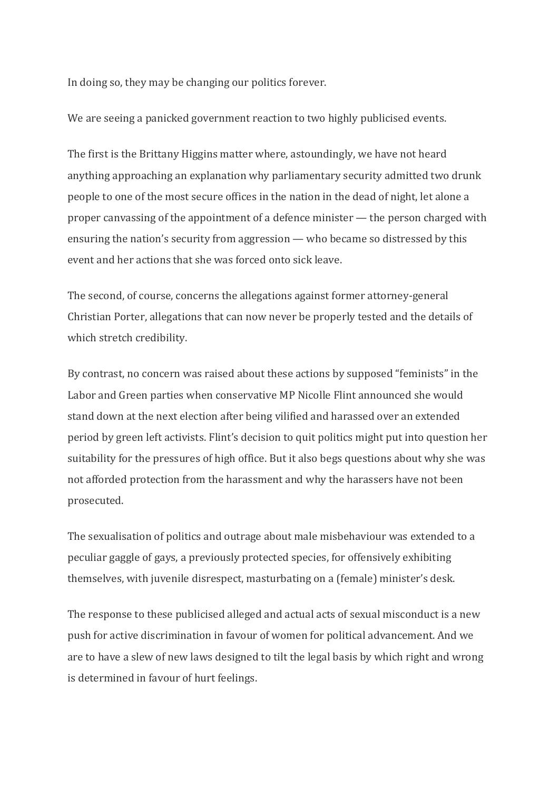In doing so, they may be changing our politics forever.

We are seeing a panicked government reaction to two highly publicised events.

The first is the Brittany Higgins matter where, astoundingly, we have not heard anything approaching an explanation why parliamentary security admitted two drunk people to one of the most secure offices in the nation in the dead of night, let alone a proper canvassing of the appointment of a defence minister — the person charged with ensuring the nation's security from aggression — who became so distressed by this event and her actions that she was forced onto sick leave.

The second, of course, concerns the allegations against former attorney-general Christian Porter, allegations that can now never be properly tested and the details of which stretch credibility.

By contrast, no concern was raised about these actions by supposed "feminists" in the Labor and Green parties when conservative MP Nicolle Flint announced she would stand down at the next election after being vilified and harassed over an extended period by green left activists. Flint's decision to quit politics might put into question her suitability for the pressures of high office. But it also begs questions about why she was not afforded protection from the harassment and why the harassers have not been prosecuted.

The sexualisation of politics and outrage about male misbehaviour was extended to a peculiar gaggle of gays, a previously protected species, for offensively exhibiting themselves, with juvenile disrespect, masturbating on a (female) minister's desk.

The response to these publicised alleged and actual acts of sexual misconduct is a new push for active discrimination in favour of women for political advancement. And we are to have a slew of new laws designed to tilt the legal basis by which right and wrong is determined in favour of hurt feelings.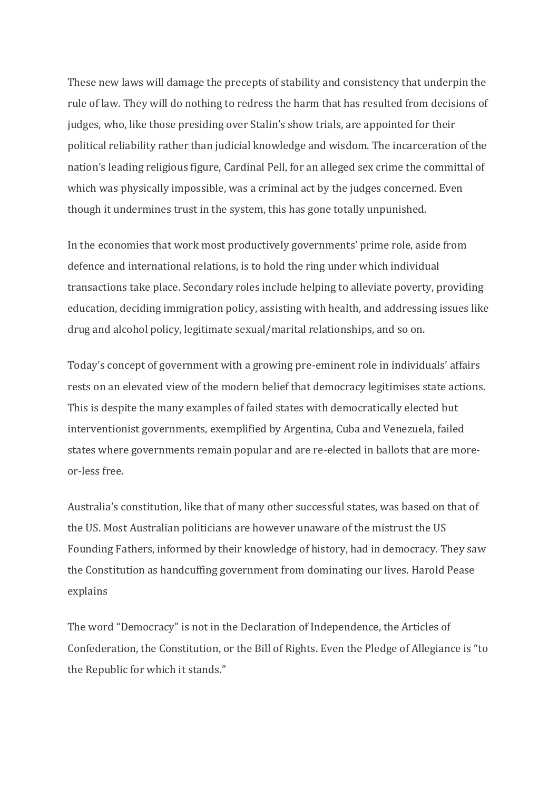These new laws will damage the precepts of stability and consistency that underpin the rule of law. They will do nothing to redress the harm that has resulted from decisions of judges, who, like those presiding over Stalin's show trials, are appointed for their political reliability rather than judicial knowledge and wisdom. The incarceration of the nation's leading religious figure, Cardinal Pell, for an alleged sex crime the committal of which was physically impossible, was a criminal act by the judges concerned. Even though it undermines trust in the system, this has gone totally unpunished.

In the economies that work most productively governments' prime role, aside from defence and international relations, is to hold the ring under which individual transactions take place. Secondary roles include helping to alleviate poverty, providing education, deciding immigration policy, assisting with health, and addressing issues like drug and alcohol policy, legitimate sexual/marital relationships, and so on.

Today's concept of government with a growing pre-eminent role in individuals' affairs rests on an elevated view of the modern belief that democracy legitimises state actions. This is despite the many examples of failed states with democratically elected but interventionist governments, exemplified by Argentina, Cuba and Venezuela, failed states where governments remain popular and are re-elected in ballots that are moreor-less free.

Australia's constitution, like that of many other successful states, was based on that of the US. Most Australian politicians are however unaware of the mistrust the US Founding Fathers, informed by their knowledge of history, had in democracy. They saw the Constitution as handcuffing government from dominating our lives. Harold Pease explains

The word "Democracy" is not in the Declaration of Independence, the Articles of Confederation, the Constitution, or the Bill of Rights. Even the Pledge of Allegiance is "to the Republic for which it stands."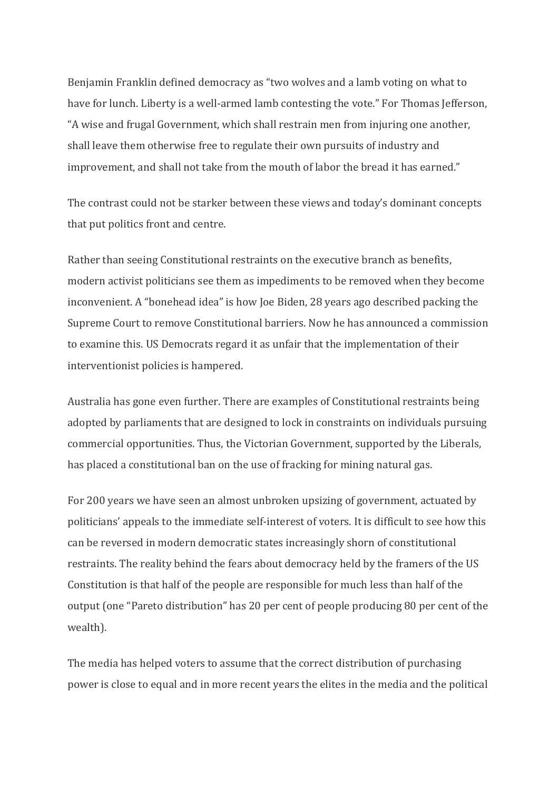Benjamin Franklin defined democracy as "two wolves and a lamb voting on what to have for lunch. Liberty is a well-armed lamb contesting the vote." For Thomas Jefferson, "A wise and frugal Government, which shall restrain men from injuring one another, shall leave them otherwise free to regulate their own pursuits of industry and improvement, and shall not take from the mouth of labor the bread it has earned."

The contrast could not be starker between these views and today's dominant concepts that put politics front and centre.

Rather than seeing Constitutional restraints on the executive branch as benefits, modern activist politicians see them as impediments to be removed when they become inconvenient. A "bonehead idea" is how Joe Biden, 28 years ago described packing the Supreme Court to remove Constitutional barriers. Now he has announced a commission to examine this. US Democrats regard it as unfair that the implementation of their interventionist policies is hampered.

Australia has gone even further. There are examples of Constitutional restraints being adopted by parliaments that are designed to lock in constraints on individuals pursuing commercial opportunities. Thus, the Victorian Government, supported by the Liberals, has placed a constitutional ban on the use of fracking for mining natural gas.

For 200 years we have seen an almost unbroken upsizing of government, actuated by politicians' appeals to the immediate self-interest of voters. It is difficult to see how this can be reversed in modern democratic states increasingly shorn of constitutional restraints. The reality behind the fears about democracy held by the framers of the US Constitution is that half of the people are responsible for much less than half of the output (one "Pareto distribution" has 20 per cent of people producing 80 per cent of the wealth).

The media has helped voters to assume that the correct distribution of purchasing power is close to equal and in more recent years the elites in the media and the political